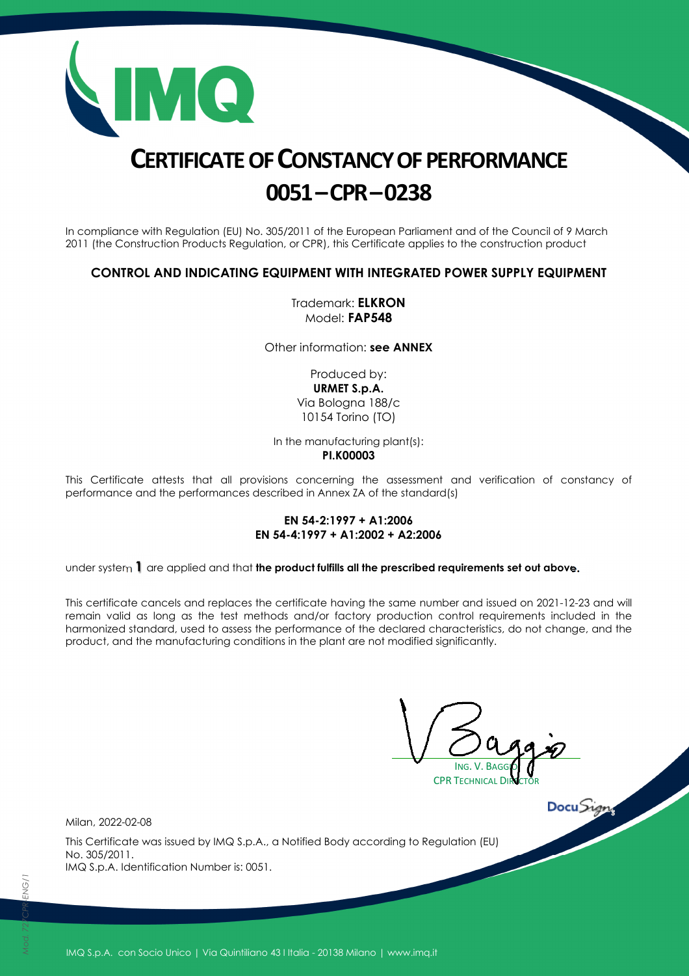

# **CERTIFICATE OF CONSTANCY OF PERFORMANCE 0051–CPR–0238**

In compliance with Regulation (EU) No. 305/2011 of the European Parliament and of the Council of 9 March 2011 (the Construction Products Regulation, or CPR), this Certificate applies to the construction product

### **CONTROL AND INDICATING EQUIPMENT WITH INTEGRATED POWER SUPPLY EQUIPMENT**

Trademark: **ELKRON** Model: **FAP548** 

Other information: **see ANNEX**

Produced by: **URMET S.p.A.**  Via Bologna 188/c 10154 Torino (TO)

In the manufacturing plant(s):

**PI.K00003** 

This Certificate attests that all provisions concerning the assessment and verification of constancy of performance and the performances described in Annex ZA of the standard(s)

#### **EN 54-2:1997 + A1:2006 EN 54-4:1997 + A1:2002 + A2:2006**

under system **1** are applied and that **the product fulfills all the prescribed requirements set out above.**

This certificate cancels and replaces the certificate having the same number and issued on 2021-12-23 and will remain valid as long as the test methods and/or factory production control requirements included in the harmonized standard, used to assess the performance of the declared characteristics, do not change, and the product, and the manufacturing conditions in the plant are not modified significantly.

ING. V. BAGGIO **CPR TECHNICAL DIRECT** 

Milan, 2022-02-08

This Certificate was issued by IMQ S.p.A., a Notified Body according to Regulation (EU) No. 305/2011. IMQ S.p.A. Identification Number is: 0051.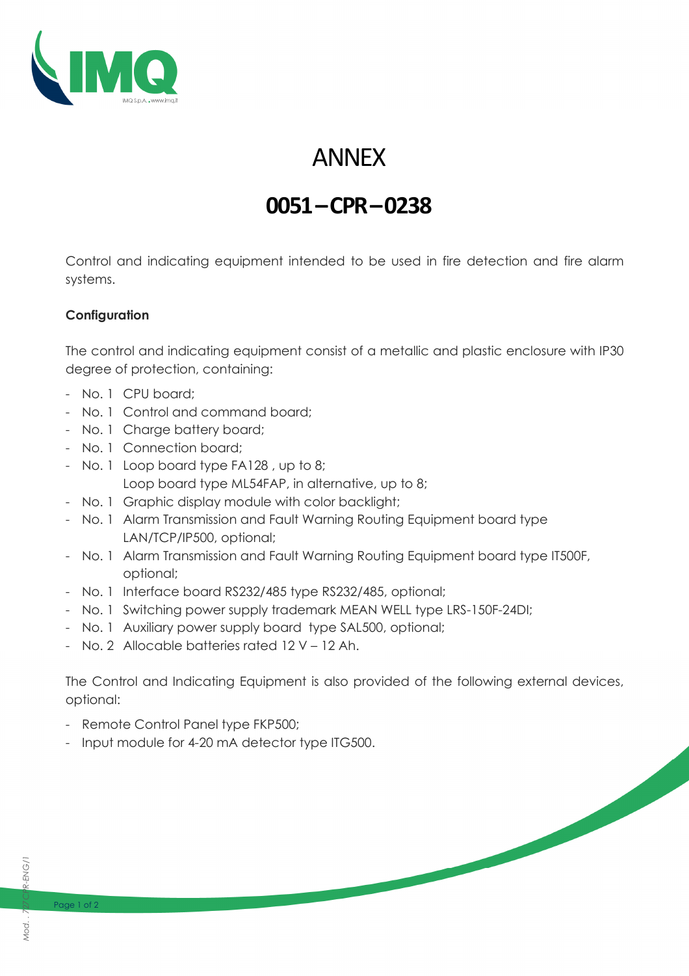

# ANNEX

## **0051–CPR–0238**

Control and indicating equipment intended to be used in fire detection and fire alarm systems.

### **Configuration**

The control and indicating equipment consist of a metallic and plastic enclosure with IP30 degree of protection, containing:

- No. 1 CPU board;
- No. 1 Control and command board;
- No. 1 Charge battery board;
- No. 1 Connection board;
- No. 1 Loop board type FA128 , up to 8; Loop board type ML54FAP, in alternative, up to 8;
- No. 1 Graphic display module with color backlight;
- No. 1 Alarm Transmission and Fault Warning Routing Equipment board type LAN/TCP/IP500, optional;
- No. 1 Alarm Transmission and Fault Warning Routing Equipment board type IT500F, optional;
- No. 1 Interface board RS232/485 type RS232/485, optional;
- No. 1 Switching power supply trademark MEAN WELL type LRS-150F-24DI;
- No. 1 Auxiliary power supply board type SAL500, optional;
- No. 2 Allocable batteries rated 12 V 12 Ah.

The Control and Indicating Equipment is also provided of the following external devices, optional:

- Remote Control Panel type FKP500;
- Input module for 4-20 mA detector type ITG500.

Page 1 of 2